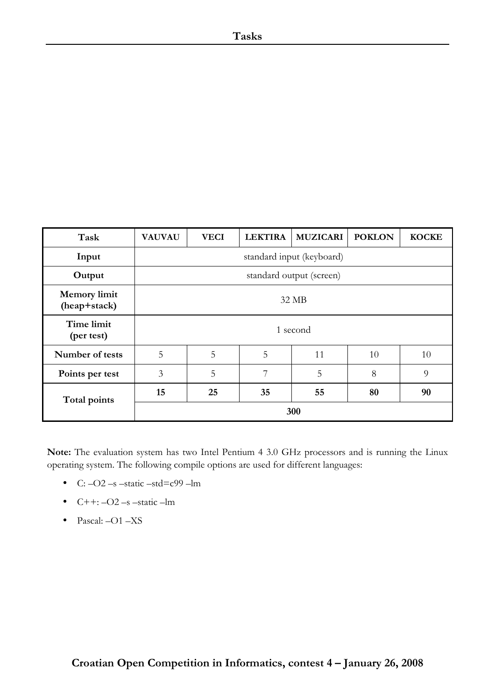| Task                                | <b>VAUVAU</b> | <b>VECI</b> | <b>LEKTIRA</b> | <b>MUZICARI</b>           | <b>POKLON</b> | <b>KOCKE</b> |
|-------------------------------------|---------------|-------------|----------------|---------------------------|---------------|--------------|
| Input                               |               |             |                | standard input (keyboard) |               |              |
| Output                              |               |             |                | standard output (screen)  |               |              |
| <b>Memory limit</b><br>(heap+stack) |               |             |                | 32 MB                     |               |              |
| Time limit<br>(per test)            |               |             |                | 1 second                  |               |              |
| Number of tests                     | 5             | 5           | 5              | 11                        | 10            | 10           |
| Points per test                     | 3             | 5           | 7              | 5                         | 8             | 9            |
| Total points                        | 15            | 25          | 35             | 55                        | 80            | 90           |
|                                     | 300           |             |                |                           |               |              |

**Note:** The evaluation system has two Intel Pentium 4 3.0 GHz processors and is running the Linux operating system. The following compile options are used for different languages:

- C:  $-O2$  –s –static –std=c99 –lm
- $C++: -O2 s static lm$
- Pascal: -O1 -XS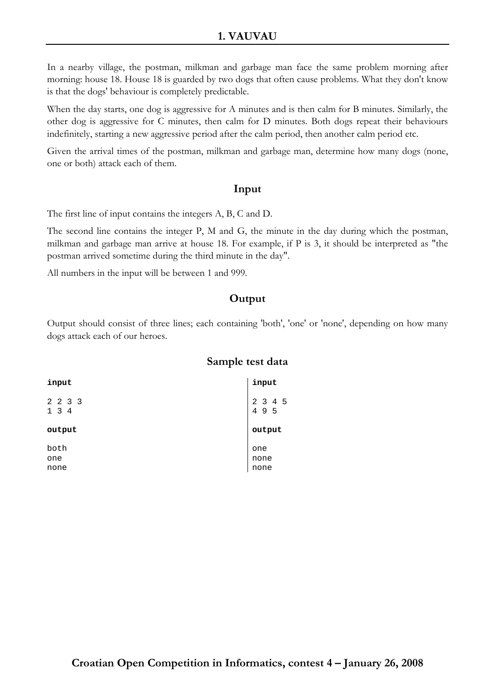In a nearby village, the postman, milkman and garbage man face the same problem morning after morning: house 18. House 18 is guarded by two dogs that often cause problems. What they don't know is that the dogs' behaviour is completely predictable.

When the day starts, one dog is aggressive for A minutes and is then calm for B minutes. Similarly, the other dog is aggressive for C minutes, then calm for D minutes. Both dogs repeat their behaviours indefinitely, starting a new aggressive period after the calm period, then another calm period etc.

Given the arrival times of the postman, milkman and garbage man, determine how many dogs (none, one or both) attack each of them.

#### **Input**

The first line of input contains the integers A, B, C and D.

The second line contains the integer P, M and G, the minute in the day during which the postman, milkman and garbage man arrive at house 18. For example, if P is 3, it should be interpreted as "the postman arrived sometime during the third minute in the day".

All numbers in the input will be between 1 and 999.

# **Output**

Output should consist of three lines; each containing 'both', 'one' or 'none', depending on how many dogs attack each of our heroes.

| input               | input               |
|---------------------|---------------------|
| 2 2 3 3<br>134      | $2$ 3 4 5<br>4 9 5  |
| output              | output              |
| both<br>one<br>none | one<br>none<br>none |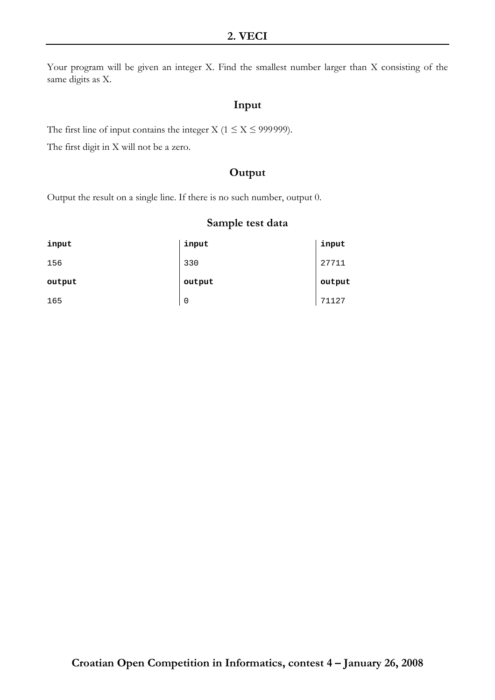Your program will be given an integer X. Find the smallest number larger than X consisting of the same digits as X.

## **Input**

The first line of input contains the integer X ( $1 \le X \le 999999$ ).

The first digit in X will not be a zero.

## **Output**

Output the result on a single line. If there is no such number, output 0.

| input  | input       | input  |
|--------|-------------|--------|
| 156    | 330         | 27711  |
| output | output      | output |
| 165    | $\mathbf 0$ | 71127  |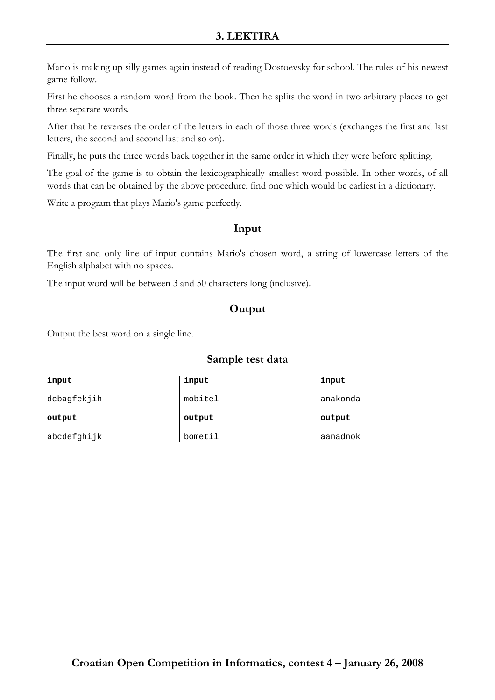# **3. LEKTIRA**

Mario is making up silly games again instead of reading Dostoevsky for school. The rules of his newest game follow.

First he chooses a random word from the book. Then he splits the word in two arbitrary places to get three separate words.

After that he reverses the order of the letters in each of those three words (exchanges the first and last letters, the second and second last and so on).

Finally, he puts the three words back together in the same order in which they were before splitting.

The goal of the game is to obtain the lexicographically smallest word possible. In other words, of all words that can be obtained by the above procedure, find one which would be earliest in a dictionary.

Write a program that plays Mario's game perfectly.

#### **Input**

The first and only line of input contains Mario's chosen word, a string of lowercase letters of the English alphabet with no spaces.

The input word will be between 3 and 50 characters long (inclusive).

# **Output**

Output the best word on a single line.

| input       | input   | input    |
|-------------|---------|----------|
| dcbagfekjih | mobitel | anakonda |
|             |         |          |
| output      | output  | output   |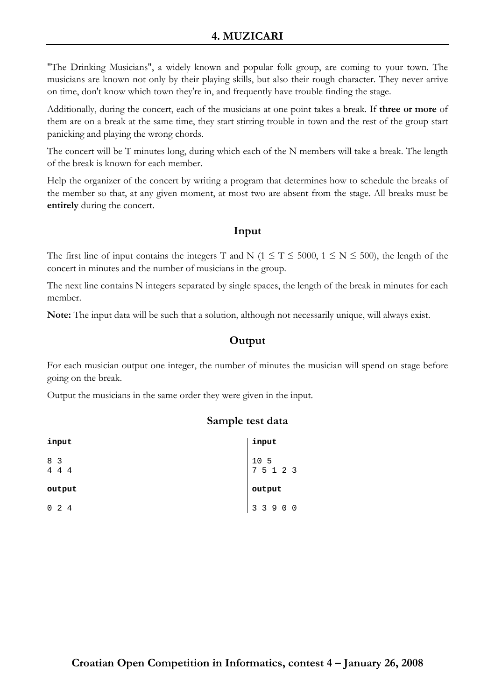# **4. MUZICARI**

"The Drinking Musicians", a widely known and popular folk group, are coming to your town. The musicians are known not only by their playing skills, but also their rough character. They never arrive on time, don't know which town they're in, and frequently have trouble finding the stage.

Additionally, during the concert, each of the musicians at one point takes a break. If **three or more** of them are on a break at the same time, they start stirring trouble in town and the rest of the group start panicking and playing the wrong chords.

The concert will be T minutes long, during which each of the N members will take a break. The length of the break is known for each member.

Help the organizer of the concert by writing a program that determines how to schedule the breaks of the member so that, at any given moment, at most two are absent from the stage. All breaks must be **entirely** during the concert.

## **Input**

The first line of input contains the integers T and N ( $1 \le T \le 5000$ ,  $1 \le N \le 500$ ), the length of the concert in minutes and the number of musicians in the group.

The next line contains N integers separated by single spaces, the length of the break in minutes for each member.

**Note:** The input data will be such that a solution, although not necessarily unique, will always exist.

# **Output**

For each musician output one integer, the number of minutes the musician will spend on stage before going on the break.

Output the musicians in the same order they were given in the input.

| input                       | input                                                         |
|-----------------------------|---------------------------------------------------------------|
| 8 3<br>$\overline{4}$<br>44 | $\begin{array}{cccc} 10 & 5 \\ 7 & 5 & 1 & 2 & 3 \end{array}$ |
| output                      | output                                                        |
| $0 \t2 \t4$                 | 3 3 9 0 0                                                     |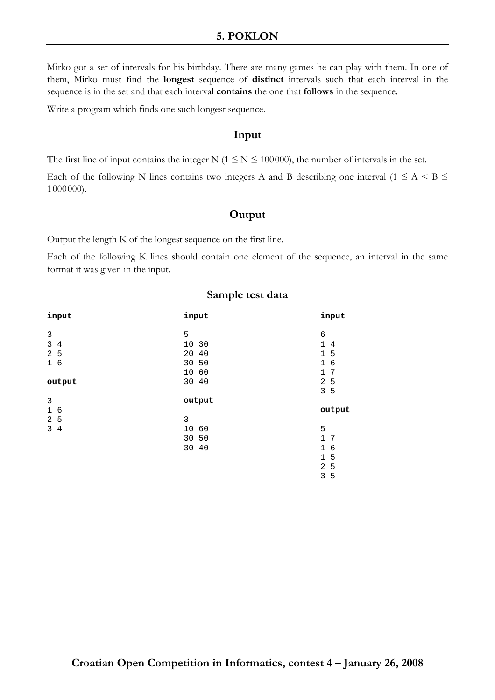## **5. POKLON**

Mirko got a set of intervals for his birthday. There are many games he can play with them. In one of them, Mirko must find the **longest** sequence of **distinct** intervals such that each interval in the sequence is in the set and that each interval **contains** the one that **follows** in the sequence.

Write a program which finds one such longest sequence.

#### **Input**

The first line of input contains the integer N ( $1 \le N \le 100000$ ), the number of intervals in the set.

Each of the following N lines contains two integers A and B describing one interval ( $1 \leq A \leq B \leq$ 1000000).

#### **Output**

Output the length K of the longest sequence on the first line.

Each of the following K lines should contain one element of the sequence, an interval in the same format it was given in the input.

| input               | input          | input               |
|---------------------|----------------|---------------------|
|                     |                |                     |
| 3                   | 5              | 6                   |
| 3<br>4              | 10<br>30       | $\mathbf{1}$<br>4   |
| 2<br>5              | 20<br>40       | 1<br>5              |
| 16                  | 30 50          | 6<br>$\mathbf 1$    |
|                     | 60<br>10       | 7<br>1              |
| output              | 30 40          | 2<br>5              |
|                     |                | 3<br>5              |
|                     |                |                     |
| $\mathsf 3$         | output         |                     |
| $\mathbf{1}$<br>6   |                | output              |
| 2<br>5              | 3              |                     |
| 3<br>$\overline{4}$ | 10<br>60       | 5                   |
|                     | 50             | $\mathbf{1}$<br>7   |
|                     | 30<br>40<br>30 | $\mathbf 1$<br>6    |
|                     |                | 5<br>$\mathbf 1$    |
|                     |                | 5<br>$\overline{2}$ |